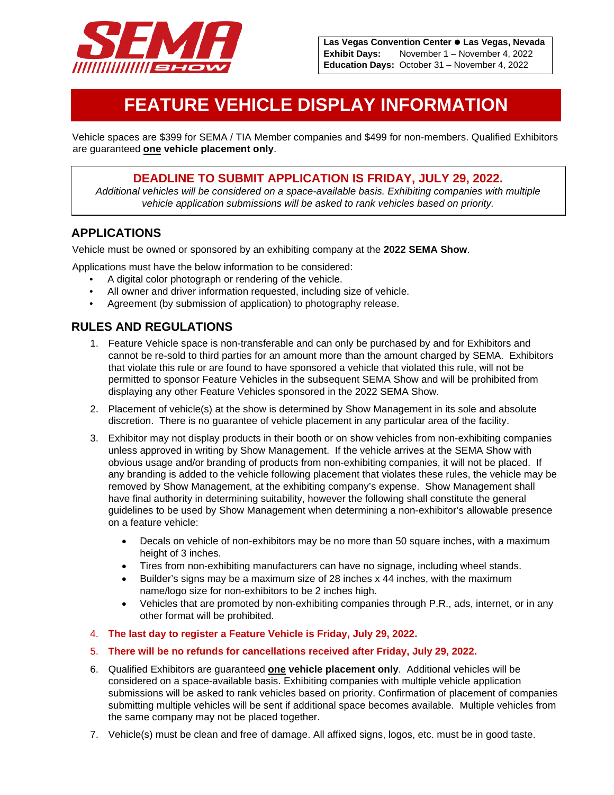

# **FEATURE VEHICLE DISPLAY INFORMATION**

Vehicle spaces are \$399 for SEMA / TIA Member companies and \$499 for non-members. Qualified Exhibitors are guaranteed **one vehicle placement only**.

#### **DEADLINE TO SUBMIT APPLICATION IS FRIDAY, JULY 29, 2022.**

*Additional vehicles will be considered on a space-available basis. Exhibiting companies with multiple vehicle application submissions will be asked to rank vehicles based on priority.* 

### **APPLICATIONS**

Vehicle must be owned or sponsored by an exhibiting company at the **2022 SEMA Show**.

Applications must have the below information to be considered:

- A digital color photograph or rendering of the vehicle.
- All owner and driver information requested, including size of vehicle.
- Agreement (by submission of application) to photography release.

## **RULES AND REGULATIONS**

- 1. Feature Vehicle space is non-transferable and can only be purchased by and for Exhibitors and cannot be re-sold to third parties for an amount more than the amount charged by SEMA. Exhibitors that violate this rule or are found to have sponsored a vehicle that violated this rule, will not be permitted to sponsor Feature Vehicles in the subsequent SEMA Show and will be prohibited from displaying any other Feature Vehicles sponsored in the 2022 SEMA Show.
- 2. Placement of vehicle(s) at the show is determined by Show Management in its sole and absolute discretion. There is no guarantee of vehicle placement in any particular area of the facility.
- 3. Exhibitor may not display products in their booth or on show vehicles from non-exhibiting companies unless approved in writing by Show Management. If the vehicle arrives at the SEMA Show with obvious usage and/or branding of products from non-exhibiting companies, it will not be placed. If any branding is added to the vehicle following placement that violates these rules, the vehicle may be removed by Show Management, at the exhibiting company's expense. Show Management shall have final authority in determining suitability, however the following shall constitute the general guidelines to be used by Show Management when determining a non-exhibitor's allowable presence on a feature vehicle:
	- Decals on vehicle of non-exhibitors may be no more than 50 square inches, with a maximum height of 3 inches.
	- Tires from non-exhibiting manufacturers can have no signage, including wheel stands.
	- Builder's signs may be a maximum size of 28 inches x 44 inches, with the maximum name/logo size for non-exhibitors to be 2 inches high.
	- Vehicles that are promoted by non-exhibiting companies through P.R., ads, internet, or in any other format will be prohibited.
- 4. **The last day to register a Feature Vehicle is Friday, July 29, 2022.**
- 5. **There will be no refunds for cancellations received after Friday, July 29, 2022.**
- 6. Qualified Exhibitors are guaranteed **one vehicle placement only**. Additional vehicles will be considered on a space-available basis. Exhibiting companies with multiple vehicle application submissions will be asked to rank vehicles based on priority. Confirmation of placement of companies submitting multiple vehicles will be sent if additional space becomes available. Multiple vehicles from the same company may not be placed together.
- 7. Vehicle(s) must be clean and free of damage. All affixed signs, logos, etc. must be in good taste.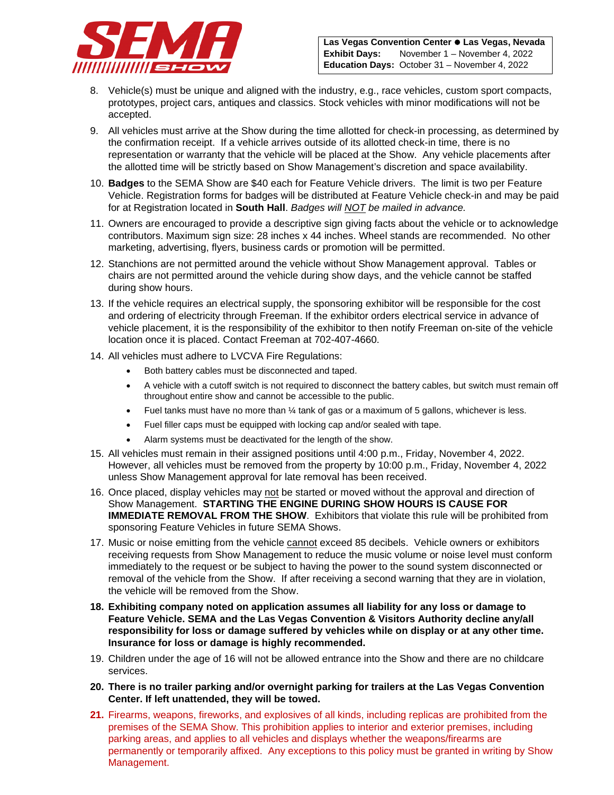

- 8. Vehicle(s) must be unique and aligned with the industry, e.g., race vehicles, custom sport compacts, prototypes, project cars, antiques and classics. Stock vehicles with minor modifications will not be accepted.
- 9. All vehicles must arrive at the Show during the time allotted for check-in processing, as determined by the confirmation receipt. If a vehicle arrives outside of its allotted check-in time, there is no representation or warranty that the vehicle will be placed at the Show. Any vehicle placements after the allotted time will be strictly based on Show Management's discretion and space availability.
- 10. **Badges** to the SEMA Show are \$40 each for Feature Vehicle drivers. The limit is two per Feature Vehicle. Registration forms for badges will be distributed at Feature Vehicle check-in and may be paid for at Registration located in **South Hall**. *Badges will NOT be mailed in advance.*
- 11. Owners are encouraged to provide a descriptive sign giving facts about the vehicle or to acknowledge contributors. Maximum sign size: 28 inches x 44 inches. Wheel stands are recommended. No other marketing, advertising, flyers, business cards or promotion will be permitted.
- 12. Stanchions are not permitted around the vehicle without Show Management approval. Tables or chairs are not permitted around the vehicle during show days, and the vehicle cannot be staffed during show hours.
- 13. If the vehicle requires an electrical supply, the sponsoring exhibitor will be responsible for the cost and ordering of electricity through Freeman. If the exhibitor orders electrical service in advance of vehicle placement, it is the responsibility of the exhibitor to then notify Freeman on-site of the vehicle location once it is placed. Contact Freeman at 702-407-4660.
- 14. All vehicles must adhere to LVCVA Fire Regulations:
	- Both battery cables must be disconnected and taped.
	- A vehicle with a cutoff switch is not required to disconnect the battery cables, but switch must remain off throughout entire show and cannot be accessible to the public.
	- Fuel tanks must have no more than ¼ tank of gas or a maximum of 5 gallons, whichever is less.
	- Fuel filler caps must be equipped with locking cap and/or sealed with tape.
	- Alarm systems must be deactivated for the length of the show.
- 15. All vehicles must remain in their assigned positions until 4:00 p.m., Friday, November 4, 2022. However, all vehicles must be removed from the property by 10:00 p.m., Friday, November 4, 2022 unless Show Management approval for late removal has been received.
- 16. Once placed, display vehicles may not be started or moved without the approval and direction of Show Management. **STARTING THE ENGINE DURING SHOW HOURS IS CAUSE FOR IMMEDIATE REMOVAL FROM THE SHOW**. Exhibitors that violate this rule will be prohibited from sponsoring Feature Vehicles in future SEMA Shows.
- 17. Music or noise emitting from the vehicle cannot exceed 85 decibels. Vehicle owners or exhibitors receiving requests from Show Management to reduce the music volume or noise level must conform immediately to the request or be subject to having the power to the sound system disconnected or removal of the vehicle from the Show. If after receiving a second warning that they are in violation, the vehicle will be removed from the Show.
- **18. Exhibiting company noted on application assumes all liability for any loss or damage to Feature Vehicle. SEMA and the Las Vegas Convention & Visitors Authority decline any/all responsibility for loss or damage suffered by vehicles while on display or at any other time. Insurance for loss or damage is highly recommended.**
- 19. Children under the age of 16 will not be allowed entrance into the Show and there are no childcare services.
- **20. There is no trailer parking and/or overnight parking for trailers at the Las Vegas Convention Center. If left unattended, they will be towed.**
- **21.** Firearms, weapons, fireworks, and explosives of all kinds, including replicas are prohibited from the premises of the SEMA Show. This prohibition applies to interior and exterior premises, including parking areas, and applies to all vehicles and displays whether the weapons/firearms are permanently or temporarily affixed. Any exceptions to this policy must be granted in writing by Show Management.